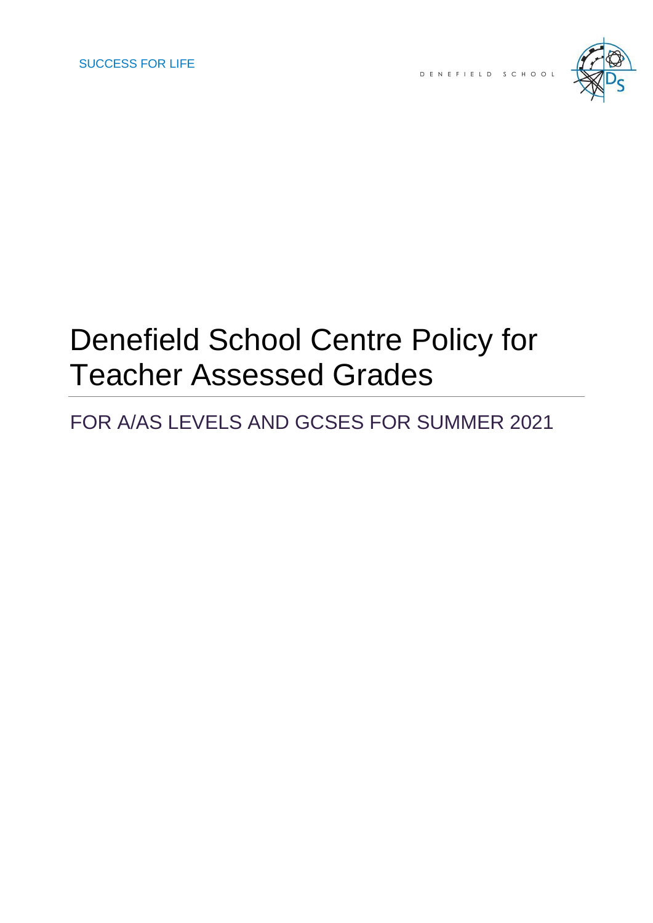

# Denefield School Centre Policy for Teacher Assessed Grades

## FOR A/AS LEVELS AND GCSES FOR SUMMER 2021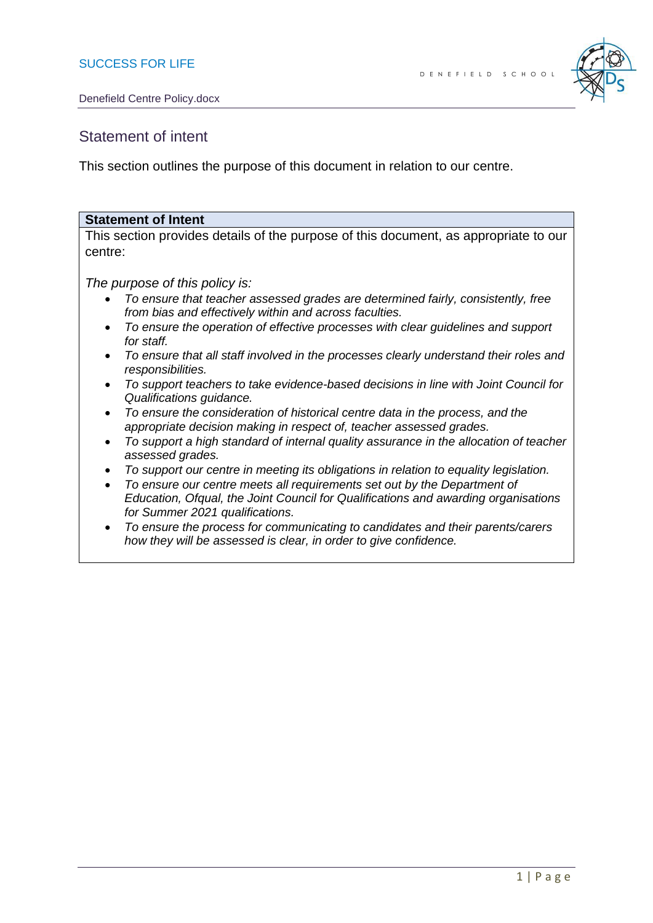

## Statement of intent

This section outlines the purpose of this document in relation to our centre.

#### **Statement of Intent**

This section provides details of the purpose of this document, as appropriate to our centre:

*The purpose of this policy is:*

- *To ensure that teacher assessed grades are determined fairly, consistently, free from bias and effectively within and across faculties.*
- *To ensure the operation of effective processes with clear guidelines and support for staff.*
- *To ensure that all staff involved in the processes clearly understand their roles and responsibilities.*
- *To support teachers to take evidence-based decisions in line with Joint Council for Qualifications guidance.*
- *To ensure the consideration of historical centre data in the process, and the appropriate decision making in respect of, teacher assessed grades.*
- *To support a high standard of internal quality assurance in the allocation of teacher assessed grades.*
- *To support our centre in meeting its obligations in relation to equality legislation.*
- *To ensure our centre meets all requirements set out by the Department of Education, Ofqual, the Joint Council for Qualifications and awarding organisations for Summer 2021 qualifications.*
- *To ensure the process for communicating to candidates and their parents/carers how they will be assessed is clear, in order to give confidence.*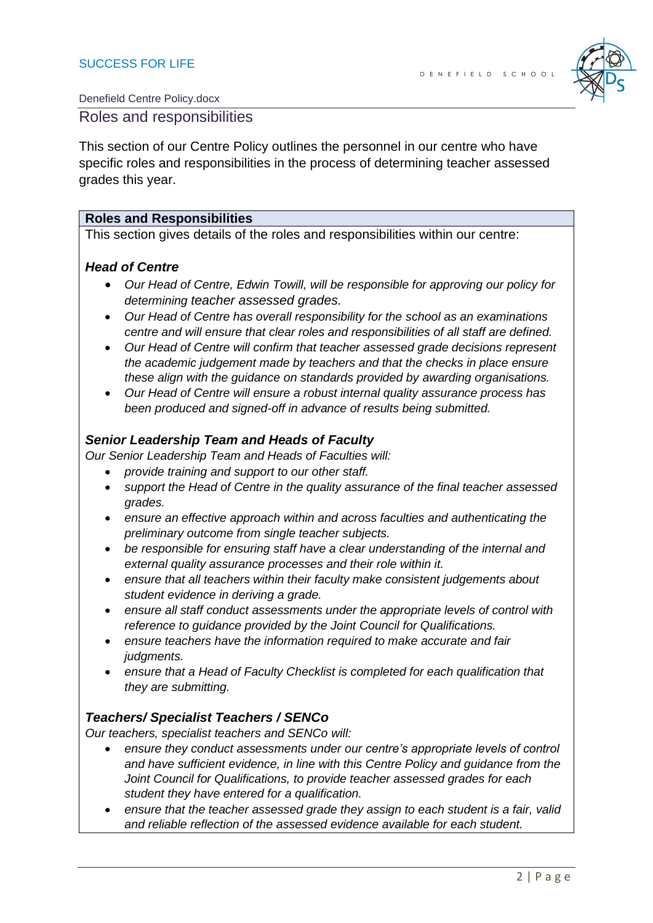

#### Roles and responsibilities

This section of our Centre Policy outlines the personnel in our centre who have specific roles and responsibilities in the process of determining teacher assessed grades this year.

#### **Roles and Responsibilities**

This section gives details of the roles and responsibilities within our centre:

#### *Head of Centre*

- *Our Head of Centre, Edwin Towill, will be responsible for approving our policy for determining teacher assessed grades.*
- *Our Head of Centre has overall responsibility for the school as an examinations centre and will ensure that clear roles and responsibilities of all staff are defined.*
- *Our Head of Centre will confirm that teacher assessed grade decisions represent the academic judgement made by teachers and that the checks in place ensure these align with the guidance on standards provided by awarding organisations.*
- *Our Head of Centre will ensure a robust internal quality assurance process has been produced and signed-off in advance of results being submitted.*

#### *Senior Leadership Team and Heads of Faculty*

*Our Senior Leadership Team and Heads of Faculties will:*

- *provide training and support to our other staff.*
- *support the Head of Centre in the quality assurance of the final teacher assessed grades.*
- *ensure an effective approach within and across faculties and authenticating the preliminary outcome from single teacher subjects.*
- *be responsible for ensuring staff have a clear understanding of the internal and external quality assurance processes and their role within it.*
- *ensure that all teachers within their faculty make consistent judgements about student evidence in deriving a grade.*
- *ensure all staff conduct assessments under the appropriate levels of control with reference to guidance provided by the Joint Council for Qualifications.*
- *ensure teachers have the information required to make accurate and fair judgments.*
- *ensure that a Head of Faculty Checklist is completed for each qualification that they are submitting.*

#### *Teachers/ Specialist Teachers / SENCo*

*Our teachers, specialist teachers and SENCo will:*

- *ensure they conduct assessments under our centre's appropriate levels of control and have sufficient evidence, in line with this Centre Policy and guidance from the Joint Council for Qualifications, to provide teacher assessed grades for each student they have entered for a qualification.*
- *ensure that the teacher assessed grade they assign to each student is a fair, valid and reliable reflection of the assessed evidence available for each student.*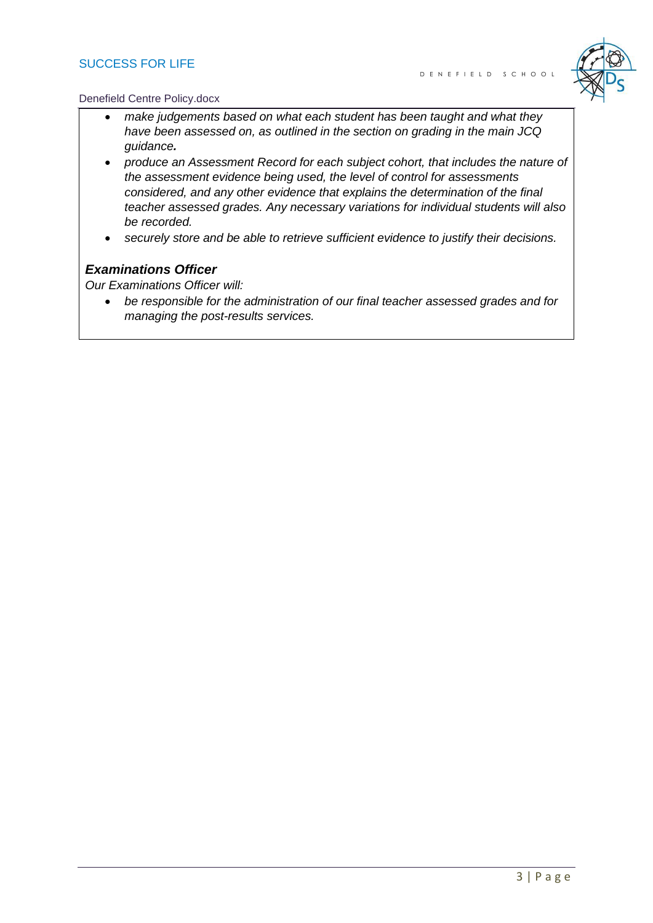#### SUCCESS FOR LIFE



#### Denefield Centre Policy.docx

- *make judgements based on what each student has been taught and what they have been assessed on, as outlined in the section on grading in the main JCQ guidance.*
- *produce an Assessment Record for each subject cohort, that includes the nature of the assessment evidence being used, the level of control for assessments considered, and any other evidence that explains the determination of the final teacher assessed grades. Any necessary variations for individual students will also be recorded.*
- *securely store and be able to retrieve sufficient evidence to justify their decisions.*

#### *Examinations Officer*

*Our Examinations Officer will:*

• *be responsible for the administration of our final teacher assessed grades and for managing the post-results services.*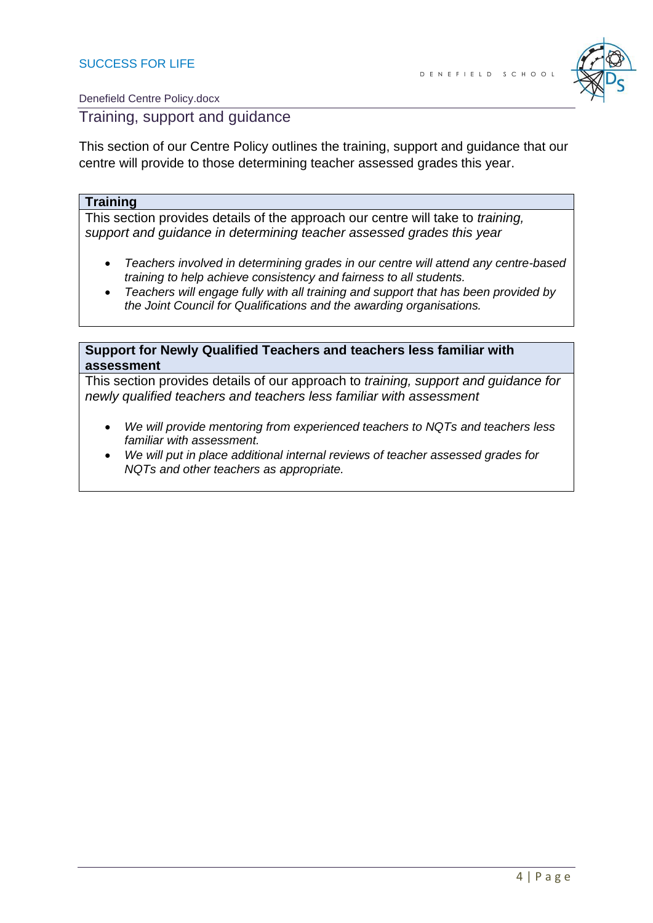

Training, support and guidance

This section of our Centre Policy outlines the training, support and guidance that our centre will provide to those determining teacher assessed grades this year.

#### **Training**

This section provides details of the approach our centre will take to *training, support and guidance in determining teacher assessed grades this year*

- *Teachers involved in determining grades in our centre will attend any centre-based training to help achieve consistency and fairness to all students.*
- *Teachers will engage fully with all training and support that has been provided by the Joint Council for Qualifications and the awarding organisations.*

#### **Support for Newly Qualified Teachers and teachers less familiar with assessment**

This section provides details of our approach to *training, support and guidance for newly qualified teachers and teachers less familiar with assessment*

- *We will provide mentoring from experienced teachers to NQTs and teachers less familiar with assessment.*
- *We will put in place additional internal reviews of teacher assessed grades for NQTs and other teachers as appropriate.*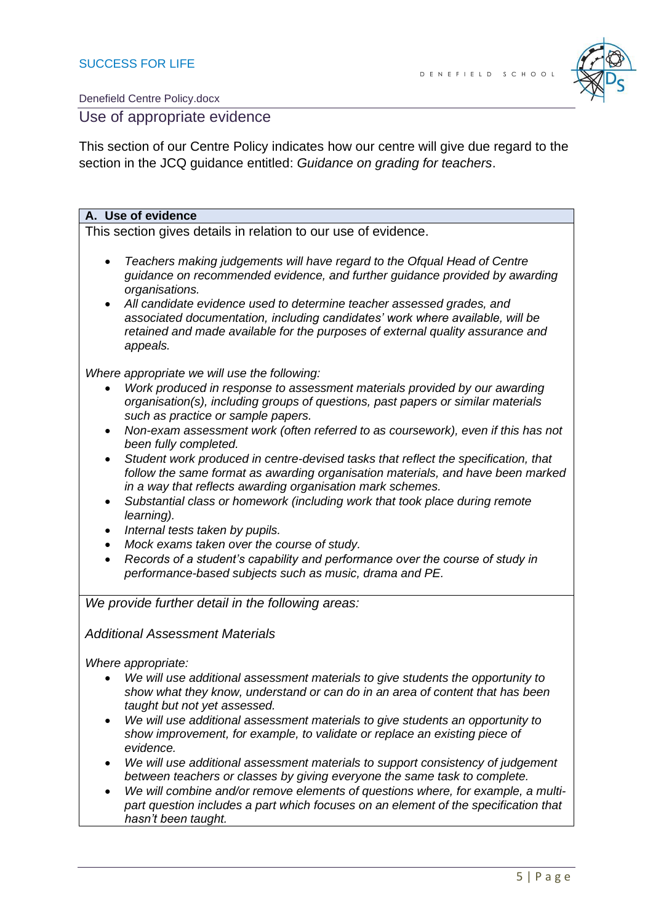

#### Use of appropriate evidence

This section of our Centre Policy indicates how our centre will give due regard to the section in the JCQ guidance entitled: *Guidance on grading for teachers*.

#### **A. Use of evidence**

This section gives details in relation to our use of evidence.

- *Teachers making judgements will have regard to the Ofqual Head of Centre guidance on recommended evidence, and further guidance provided by awarding organisations.*
- *All candidate evidence used to determine teacher assessed grades, and associated documentation, including candidates' work where available, will be retained and made available for the purposes of external quality assurance and appeals.*

*Where appropriate we will use the following:*

- *Work produced in response to assessment materials provided by our awarding organisation(s), including groups of questions, past papers or similar materials such as practice or sample papers.*
- *Non-exam assessment work (often referred to as coursework), even if this has not been fully completed.*
- *Student work produced in centre-devised tasks that reflect the specification, that follow the same format as awarding organisation materials, and have been marked in a way that reflects awarding organisation mark schemes.*
- *Substantial class or homework (including work that took place during remote learning).*
- *Internal tests taken by pupils.*
- *Mock exams taken over the course of study.*
- *Records of a student's capability and performance over the course of study in performance-based subjects such as music, drama and PE.*

*We provide further detail in the following areas:*

*Additional Assessment Materials*

*Where appropriate:*

- *We will use additional assessment materials to give students the opportunity to show what they know, understand or can do in an area of content that has been taught but not yet assessed.*
- *We will use additional assessment materials to give students an opportunity to show improvement, for example, to validate or replace an existing piece of evidence.*
- *We will use additional assessment materials to support consistency of judgement between teachers or classes by giving everyone the same task to complete.*
- *We will combine and/or remove elements of questions where, for example, a multipart question includes a part which focuses on an element of the specification that hasn't been taught.*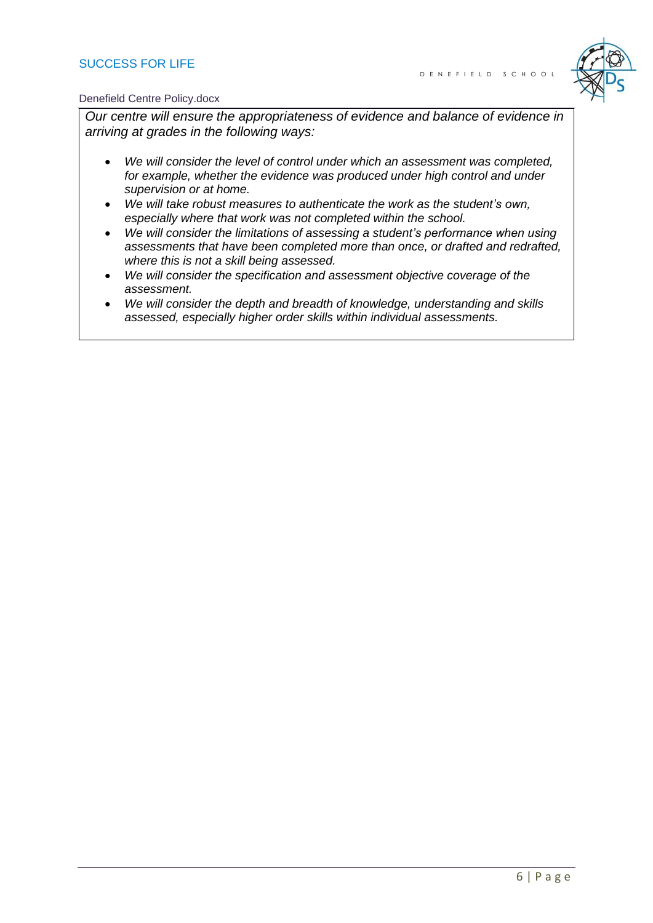#### SUCCESS FOR LIFE



#### Denefield Centre Policy.docx

*Our centre will ensure the appropriateness of evidence and balance of evidence in arriving at grades in the following ways:*

- *We will consider the level of control under which an assessment was completed, for example, whether the evidence was produced under high control and under supervision or at home.*
- *We will take robust measures to authenticate the work as the student's own, especially where that work was not completed within the school.*
- *We will consider the limitations of assessing a student's performance when using assessments that have been completed more than once, or drafted and redrafted, where this is not a skill being assessed.*
- *We will consider the specification and assessment objective coverage of the assessment.*
- *We will consider the depth and breadth of knowledge, understanding and skills assessed, especially higher order skills within individual assessments.*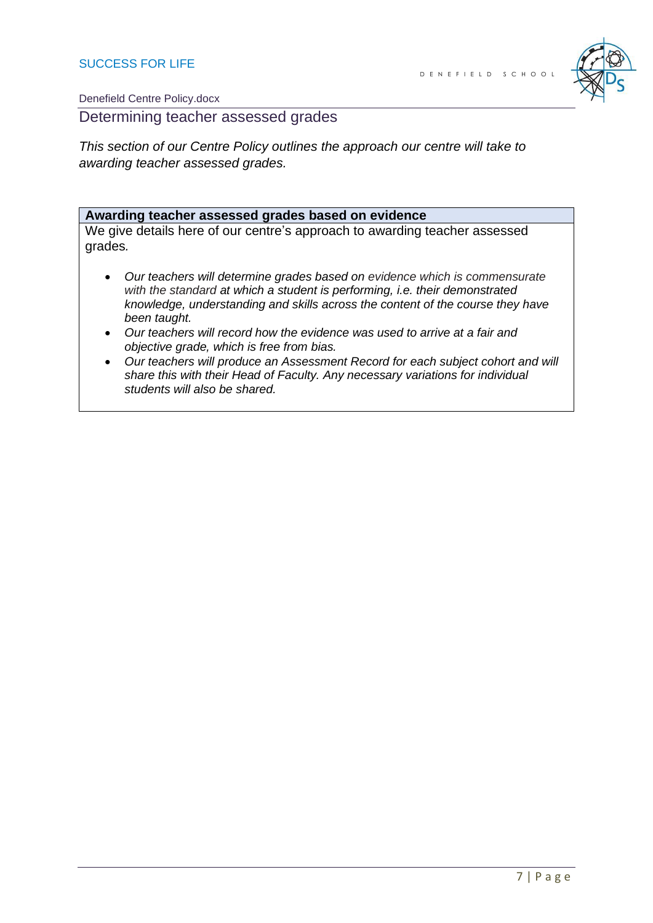

Determining teacher assessed grades

*This section of our Centre Policy outlines the approach our centre will take to awarding teacher assessed grades.*

#### **Awarding teacher assessed grades based on evidence**

We give details here of our centre's approach to awarding teacher assessed grades*.*

- *Our teachers will determine grades based on evidence which is commensurate with the standard at which a student is performing, i.e. their demonstrated knowledge, understanding and skills across the content of the course they have been taught.*
- *Our teachers will record how the evidence was used to arrive at a fair and objective grade, which is free from bias.*
- *Our teachers will produce an Assessment Record for each subject cohort and will share this with their Head of Faculty. Any necessary variations for individual students will also be shared.*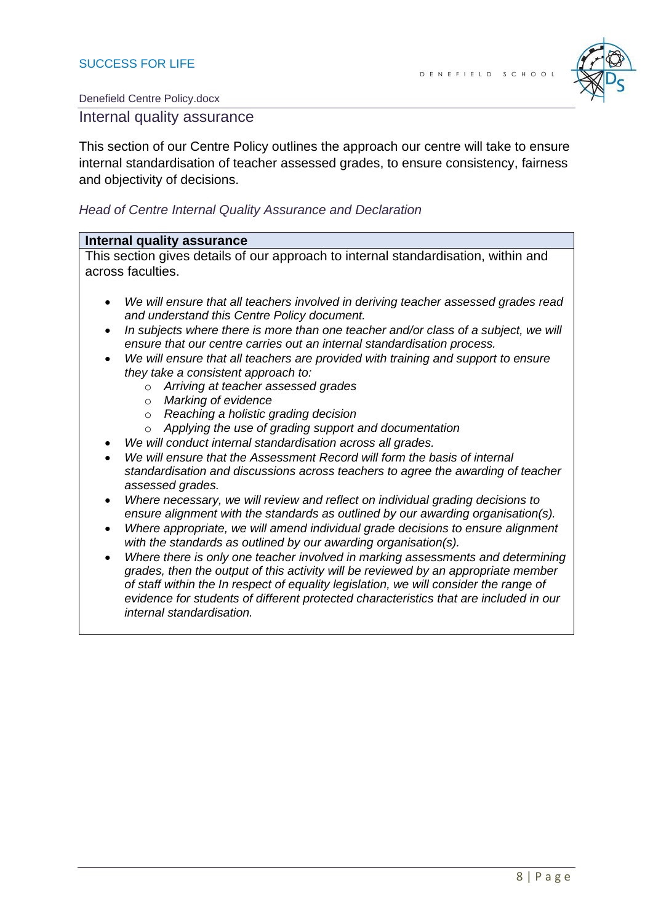

#### Internal quality assurance

This section of our Centre Policy outlines the approach our centre will take to ensure internal standardisation of teacher assessed grades, to ensure consistency, fairness and objectivity of decisions.

#### *Head of Centre Internal Quality Assurance and Declaration*

#### **Internal quality assurance**

This section gives details of our approach to internal standardisation, within and across faculties.

- *We will ensure that all teachers involved in deriving teacher assessed grades read and understand this Centre Policy document.*
- *In subjects where there is more than one teacher and/or class of a subject, we will ensure that our centre carries out an internal standardisation process.*
- *We will ensure that all teachers are provided with training and support to ensure they take a consistent approach to:*
	- o *Arriving at teacher assessed grades*
	- o *Marking of evidence*
	- o *Reaching a holistic grading decision*
	- o *Applying the use of grading support and documentation*
- *We will conduct internal standardisation across all grades.*
- *We will ensure that the Assessment Record will form the basis of internal standardisation and discussions across teachers to agree the awarding of teacher assessed grades.*
- *Where necessary, we will review and reflect on individual grading decisions to ensure alignment with the standards as outlined by our awarding organisation(s).*
- *Where appropriate, we will amend individual grade decisions to ensure alignment with the standards as outlined by our awarding organisation(s).*
- *Where there is only one teacher involved in marking assessments and determining grades, then the output of this activity will be reviewed by an appropriate member of staff within the In respect of equality legislation, we will consider the range of evidence for students of different protected characteristics that are included in our internal standardisation.*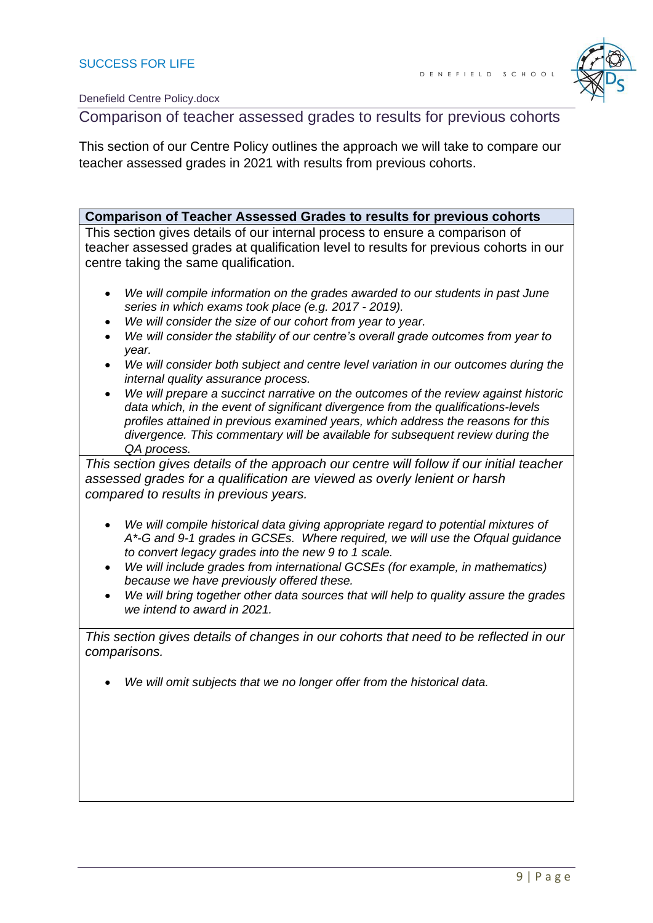

## Comparison of teacher assessed grades to results for previous cohorts

This section of our Centre Policy outlines the approach we will take to compare our teacher assessed grades in 2021 with results from previous cohorts.

**Comparison of Teacher Assessed Grades to results for previous cohorts** This section gives details of our internal process to ensure a comparison of teacher assessed grades at qualification level to results for previous cohorts in our centre taking the same qualification. • *We will compile information on the grades awarded to our students in past June series in which exams took place (e.g. 2017 - 2019).* • *We will consider the size of our cohort from year to year.* • *We will consider the stability of our centre's overall grade outcomes from year to year.* • *We will consider both subject and centre level variation in our outcomes during the internal quality assurance process.* • *We will prepare a succinct narrative on the outcomes of the review against historic data which, in the event of significant divergence from the qualifications-levels profiles attained in previous examined years, which address the reasons for this divergence. This commentary will be available for subsequent review during the QA process. This section gives details of the approach our centre will follow if our initial teacher assessed grades for a qualification are viewed as overly lenient or harsh compared to results in previous years.* • *We will compile historical data giving appropriate regard to potential mixtures of A\*-G and 9-1 grades in GCSEs. Where required, we will use the Ofqual guidance to convert legacy grades into the new 9 to 1 scale.* • *We will include grades from international GCSEs (for example, in mathematics) because we have previously offered these.*  • *We will bring together other data sources that will help to quality assure the grades we intend to award in 2021. This section gives details of changes in our cohorts that need to be reflected in our comparisons.*  • *We will omit subjects that we no longer offer from the historical data.*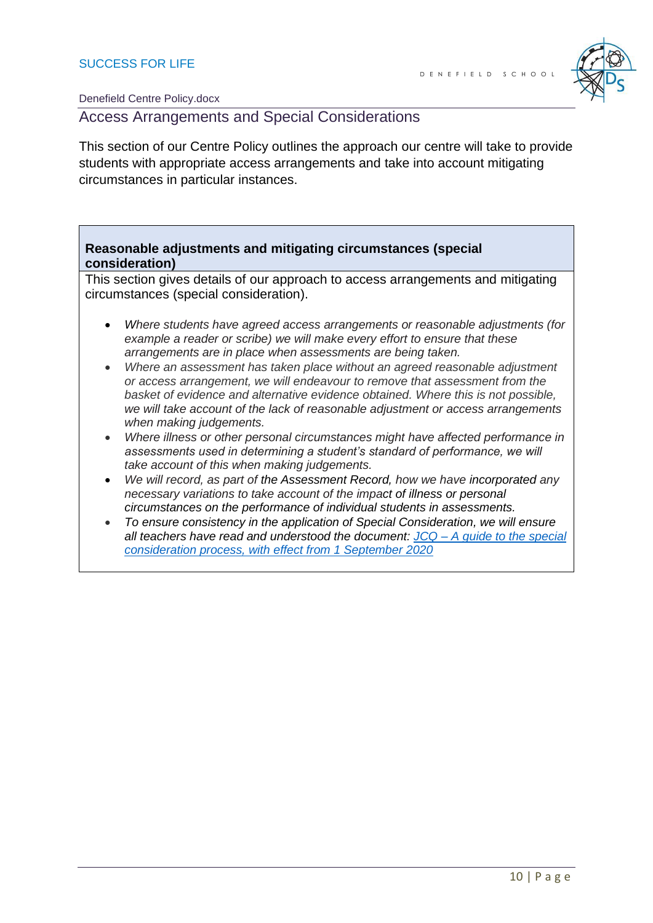

Access Arrangements and Special Considerations

This section of our Centre Policy outlines the approach our centre will take to provide students with appropriate access arrangements and take into account mitigating circumstances in particular instances.

#### **Reasonable adjustments and mitigating circumstances (special consideration)**

This section gives details of our approach to access arrangements and mitigating circumstances (special consideration).

- *Where students have agreed access arrangements or reasonable adjustments (for example a reader or scribe) we will make every effort to ensure that these arrangements are in place when assessments are being taken.*
- *Where an assessment has taken place without an agreed reasonable adjustment or access arrangement, we will endeavour to remove that assessment from the basket of evidence and alternative evidence obtained. Where this is not possible, we will take account of the lack of reasonable adjustment or access arrangements when making judgements.*
- *Where illness or other personal circumstances might have affected performance in assessments used in determining a student's standard of performance, we will take account of this when making judgements.*
- *We will record, as part of the Assessment Record, how we have incorporated any necessary variations to take account of the impact of illness or personal circumstances on the performance of individual students in assessments.*
- *To ensure consistency in the application of Special Consideration, we will ensure all teachers have read and understood the document: JCQ – [A guide to the special](https://www.jcq.org.uk/wp-content/uploads/2020/08/A-guide-to-the-spec-con-process-202021-Website-version.pdf)  [consideration process, with effect from 1 September 2020](https://www.jcq.org.uk/wp-content/uploads/2020/08/A-guide-to-the-spec-con-process-202021-Website-version.pdf)*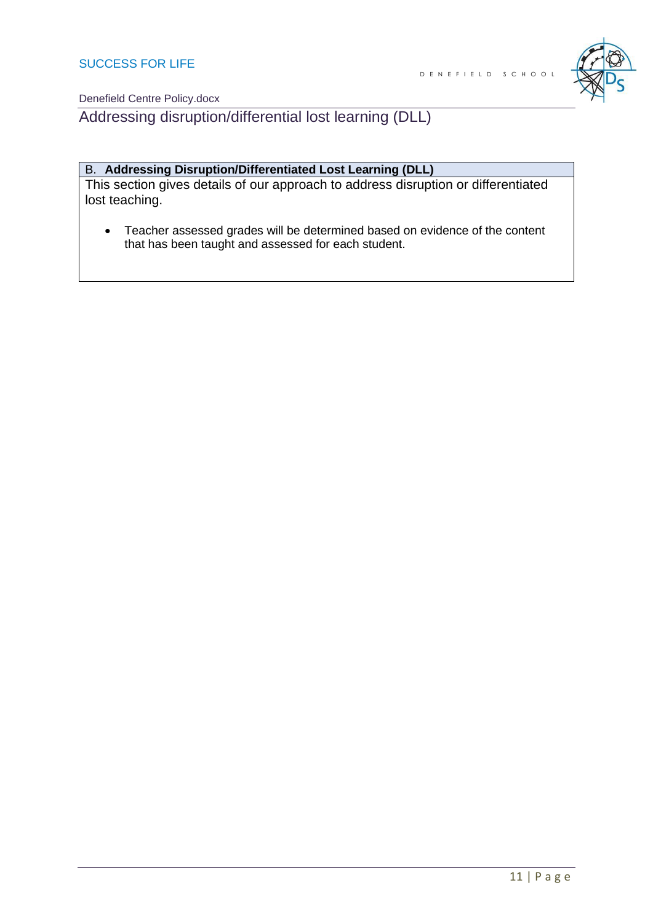

Addressing disruption/differential lost learning (DLL)

#### B. **Addressing Disruption/Differentiated Lost Learning (DLL)**

This section gives details of our approach to address disruption or differentiated lost teaching.

• Teacher assessed grades will be determined based on evidence of the content that has been taught and assessed for each student.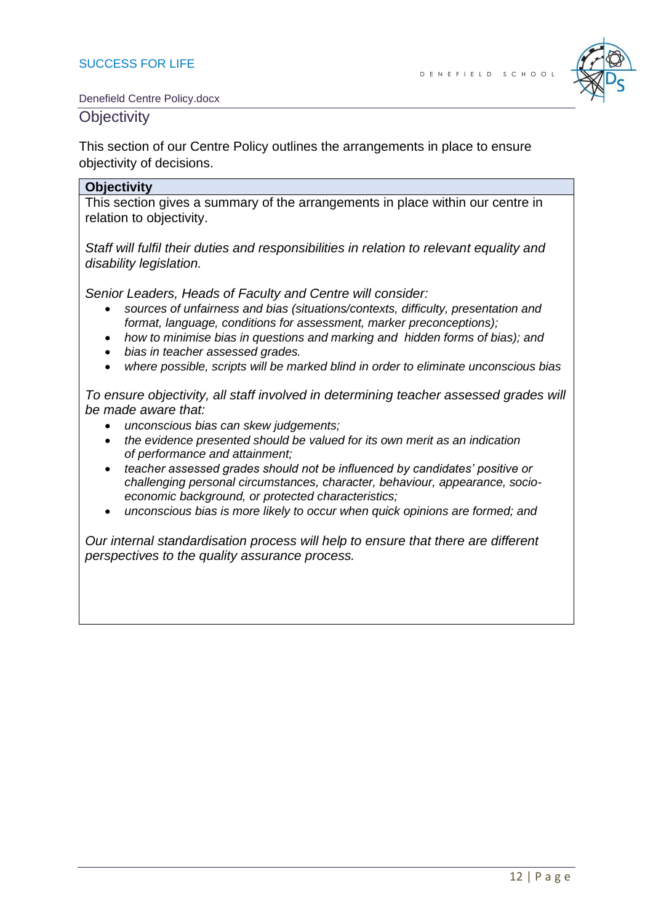

#### **Objectivity**

This section of our Centre Policy outlines the arrangements in place to ensure objectivity of decisions.

#### **Objectivity**

This section gives a summary of the arrangements in place within our centre in relation to objectivity.

*Staff will fulfil their duties and responsibilities in relation to relevant equality and disability legislation.*

*Senior Leaders, Heads of Faculty and Centre will consider:*

- *sources of unfairness and bias (situations/contexts, difficulty, presentation and format, language, conditions for assessment, marker preconceptions);*
- *how to minimise bias in questions and marking and hidden forms of bias); and*
- *bias in teacher assessed grades.*
- *where possible, scripts will be marked blind in order to eliminate unconscious bias*

*To ensure objectivity, all staff involved in determining teacher assessed grades will be made aware that:*

- *unconscious bias can skew judgements;*
- *the evidence presented should be valued for its own merit as an indication of performance and attainment;*
- *teacher assessed grades should not be influenced by candidates' positive or challenging personal circumstances, character, behaviour, appearance, socioeconomic background, or protected characteristics;*
- *unconscious bias is more likely to occur when quick opinions are formed; and*

*Our internal standardisation process will help to ensure that there are different perspectives to the quality assurance process.*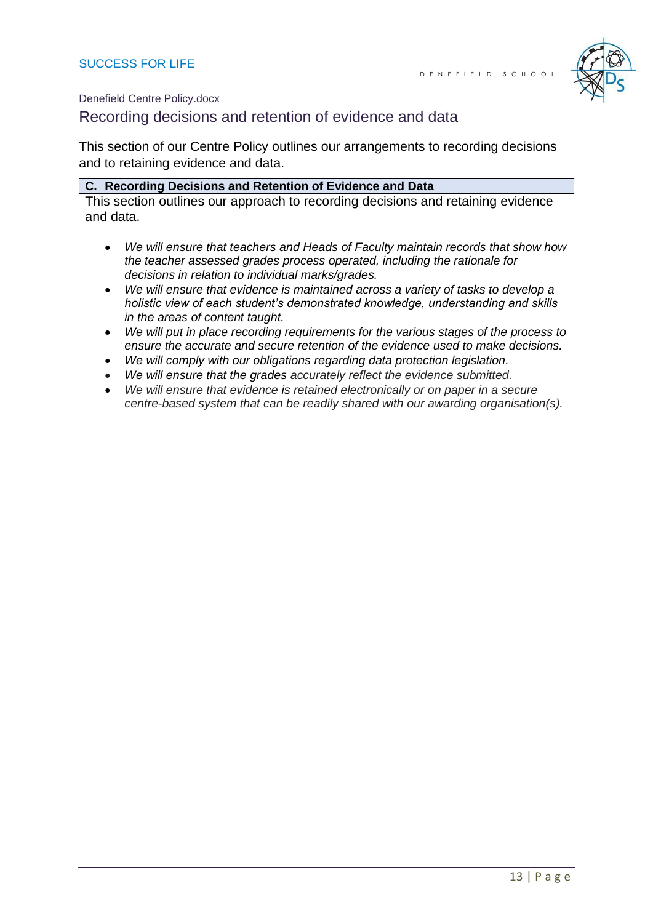

Recording decisions and retention of evidence and data

This section of our Centre Policy outlines our arrangements to recording decisions and to retaining evidence and data.

| C. Recording Decisions and Retention of Evidence and Data                        |
|----------------------------------------------------------------------------------|
| This section outlines our approach to recording decisions and retaining evidence |
| and data.                                                                        |

- *We will ensure that teachers and Heads of Faculty maintain records that show how the teacher assessed grades process operated, including the rationale for decisions in relation to individual marks/grades.*
- *We will ensure that evidence is maintained across a variety of tasks to develop a holistic view of each student's demonstrated knowledge, understanding and skills in the areas of content taught.*
- *We will put in place recording requirements for the various stages of the process to ensure the accurate and secure retention of the evidence used to make decisions.*
- *We will comply with our obligations regarding data protection legislation.*
- *We will ensure that the grades accurately reflect the evidence submitted.*
- *We will ensure that evidence is retained electronically or on paper in a secure centre-based system that can be readily shared with our awarding organisation(s).*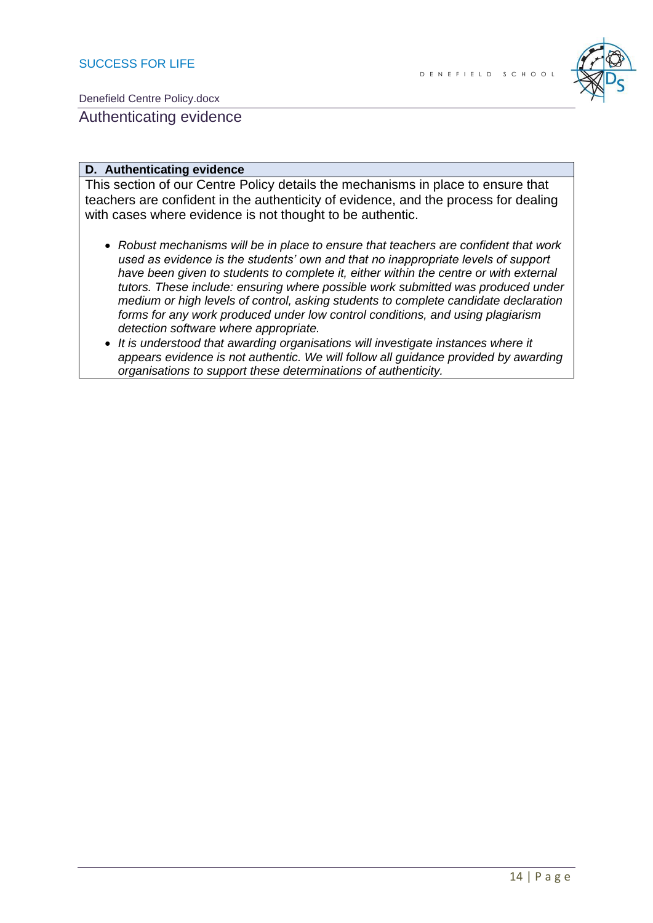

Authenticating evidence

#### **D. Authenticating evidence**

This section of our Centre Policy details the mechanisms in place to ensure that teachers are confident in the authenticity of evidence, and the process for dealing with cases where evidence is not thought to be authentic.

- *Robust mechanisms will be in place to ensure that teachers are confident that work used as evidence is the students' own and that no inappropriate levels of support have been given to students to complete it, either within the centre or with external tutors. These include: ensuring where possible work submitted was produced under medium or high levels of control, asking students to complete candidate declaration forms for any work produced under low control conditions, and using plagiarism detection software where appropriate.*
- *It is understood that awarding organisations will investigate instances where it appears evidence is not authentic. We will follow all guidance provided by awarding organisations to support these determinations of authenticity.*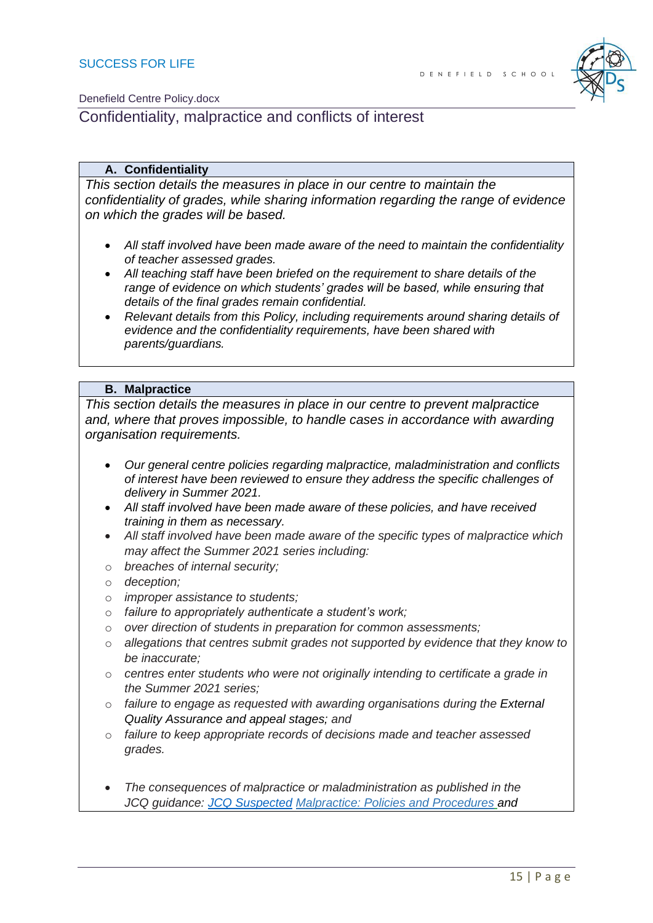

## Confidentiality, malpractice and conflicts of interest

#### **A. Confidentiality**

*This section details the measures in place in our centre to maintain the confidentiality of grades, while sharing information regarding the range of evidence on which the grades will be based.* 

- *All staff involved have been made aware of the need to maintain the confidentiality of teacher assessed grades.*
- *All teaching staff have been briefed on the requirement to share details of the range of evidence on which students' grades will be based, while ensuring that details of the final grades remain confidential.*
- *Relevant details from this Policy, including requirements around sharing details of evidence and the confidentiality requirements, have been shared with parents/guardians.*

#### **B. Malpractice**

*This section details the measures in place in our centre to prevent malpractice*  and, where that proves impossible, to handle cases in accordance with awarding *organisation requirements.*

- *Our general centre policies regarding malpractice, maladministration and conflicts of interest have been reviewed to ensure they address the specific challenges of delivery in Summer 2021.*
- *All staff involved have been made aware of these policies, and have received training in them as necessary.*
- *All staff involved have been made aware of the specific types of malpractice which may affect the Summer 2021 series including:*
- o *breaches of internal security;*
- o *deception;*
- o *improper assistance to students;*
- o *failure to appropriately authenticate a student's work;*
- o *over direction of students in preparation for common assessments;*
- o *allegations that centres submit grades not supported by evidence that they know to be inaccurate;*
- o *centres enter students who were not originally intending to certificate a grade in the Summer 2021 series;*
- o *failure to engage as requested with awarding organisations during the External Quality Assurance and appeal stages; and*
- o *failure to keep appropriate records of decisions made and teacher assessed grades.*
- *The consequences of malpractice or maladministration as published in the JCQ guidance: [JCQ Suspected](https://www.jcq.org.uk/exams-office/malpractice/jcq-suspected-malpractice-policies-and-procedures-2019-2020) Malpractice: Policies and Procedures and*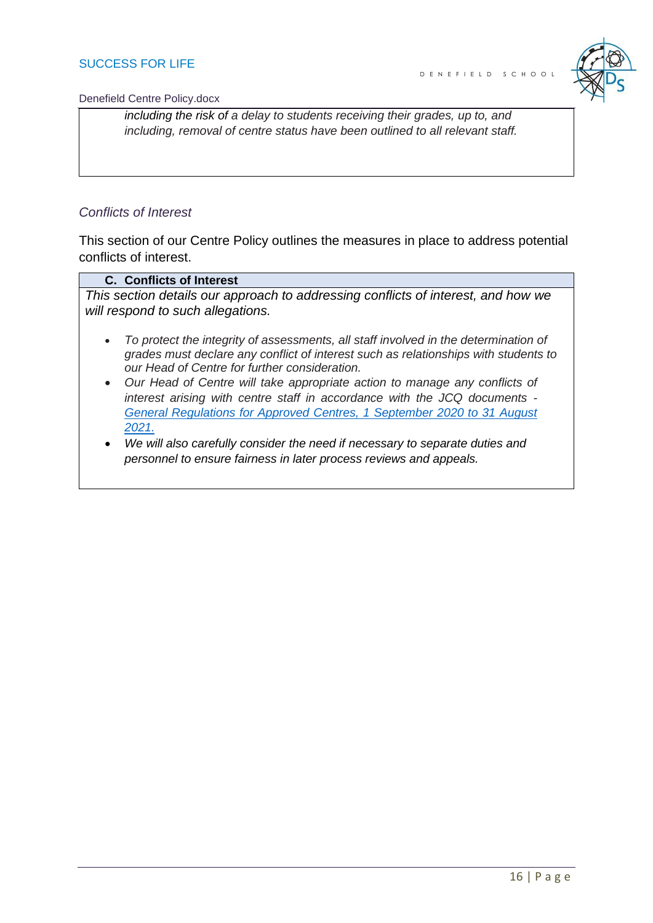

*including the risk of a delay to students receiving their grades, up to, and including, removal of centre status have been outlined to all relevant staff.* 

#### *Conflicts of Interest*

This section of our Centre Policy outlines the measures in place to address potential conflicts of interest.

#### **C. Conflicts of Interest**

*This section details our approach to addressing conflicts of interest, and how we will respond to such allegations.* 

- *To protect the integrity of assessments, all staff involved in the determination of grades must declare any conflict of interest such as relationships with students to our Head of Centre for further consideration.*
- *Our Head of Centre will take appropriate action to manage any conflicts of interest arising with centre staff in accordance with the JCQ documents - [General Regulations for Approved Centres, 1 September 2020 to 31 August](https://www.jcq.org.uk/wp-content/uploads/2020/09/Gen_regs_approved_centres_20-21_FINAL.pdf)  [2021.](https://www.jcq.org.uk/wp-content/uploads/2020/09/Gen_regs_approved_centres_20-21_FINAL.pdf)*
- *We will also carefully consider the need if necessary to separate duties and personnel to ensure fairness in later process reviews and appeals.*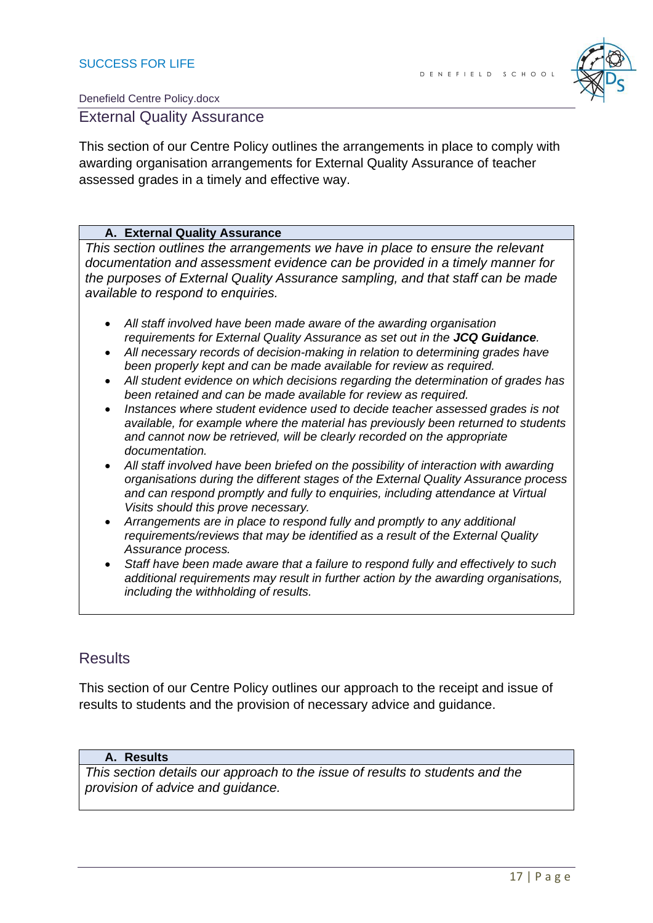

### External Quality Assurance

This section of our Centre Policy outlines the arrangements in place to comply with awarding organisation arrangements for External Quality Assurance of teacher assessed grades in a timely and effective way.

#### **A. External Quality Assurance**

*This section outlines the arrangements we have in place to ensure the relevant documentation and assessment evidence can be provided in a timely manner for the purposes of External Quality Assurance sampling, and that staff can be made available to respond to enquiries.* 

- *All staff involved have been made aware of the awarding organisation requirements for External Quality Assurance as set out in the JCQ Guidance.*
- *All necessary records of decision-making in relation to determining grades have been properly kept and can be made available for review as required.*
- *All student evidence on which decisions regarding the determination of grades has been retained and can be made available for review as required.*
- *Instances where student evidence used to decide teacher assessed grades is not available, for example where the material has previously been returned to students and cannot now be retrieved, will be clearly recorded on the appropriate documentation.*
- *All staff involved have been briefed on the possibility of interaction with awarding organisations during the different stages of the External Quality Assurance process and can respond promptly and fully to enquiries, including attendance at Virtual Visits should this prove necessary.*
- *Arrangements are in place to respond fully and promptly to any additional requirements/reviews that may be identified as a result of the External Quality Assurance process.*
- *Staff have been made aware that a failure to respond fully and effectively to such additional requirements may result in further action by the awarding organisations, including the withholding of results.*

## Results

This section of our Centre Policy outlines our approach to the receipt and issue of results to students and the provision of necessary advice and guidance.

#### **A. Results**

*This section details our approach to the issue of results to students and the provision of advice and guidance.*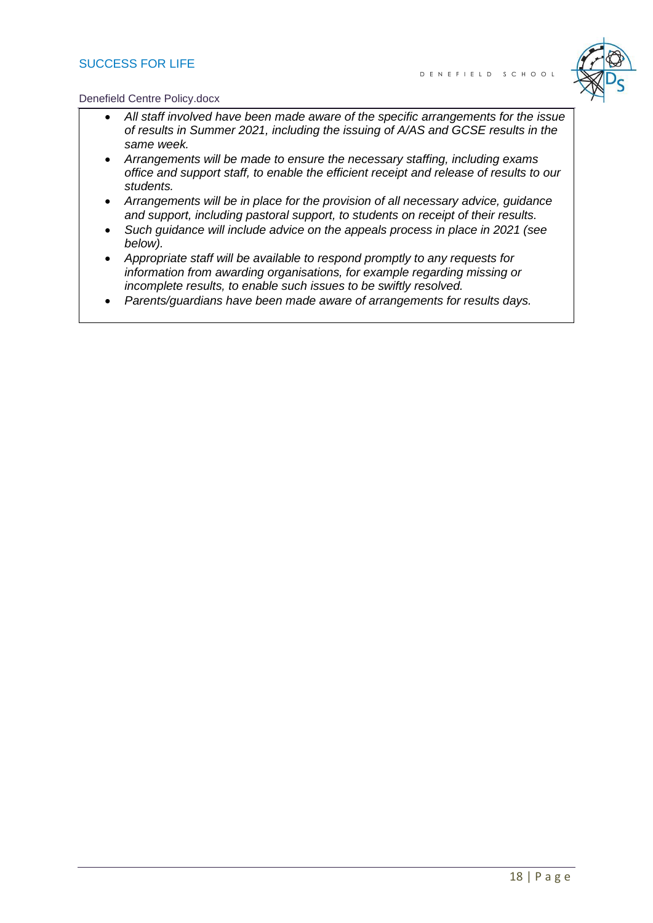#### SUCCESS FOR LIFE



#### Denefield Centre Policy.docx

- *All staff involved have been made aware of the specific arrangements for the issue of results in Summer 2021, including the issuing of A/AS and GCSE results in the same week.*
- *Arrangements will be made to ensure the necessary staffing, including exams office and support staff, to enable the efficient receipt and release of results to our students.*
- *Arrangements will be in place for the provision of all necessary advice, guidance and support, including pastoral support, to students on receipt of their results.*
- *Such guidance will include advice on the appeals process in place in 2021 (see below).*
- *Appropriate staff will be available to respond promptly to any requests for information from awarding organisations, for example regarding missing or incomplete results, to enable such issues to be swiftly resolved.*
- *Parents/guardians have been made aware of arrangements for results days.*